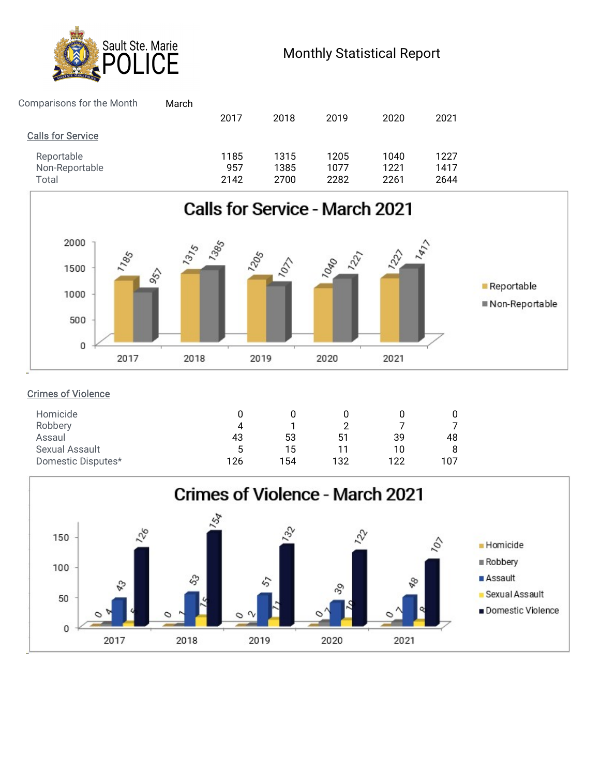

| Sault Ste. Marie<br>ĈĚ                                         |                     |                      | <b>Monthly Statistical Report</b> |                      |                      |  |
|----------------------------------------------------------------|---------------------|----------------------|-----------------------------------|----------------------|----------------------|--|
| Comparisons for the Month<br>March<br><b>Calls for Service</b> | 2017                | 2018                 | 2019                              | 2020                 | 2021                 |  |
| Reportable<br>Non-Reportable<br>Total                          | 1185<br>957<br>2142 | 1315<br>1385<br>2700 | 1205<br>1077<br>2282              | 1040<br>1221<br>2261 | 1227<br>1417<br>2644 |  |



## Crimes of Violence

| Homicide           |     |     |     |     |     |
|--------------------|-----|-----|-----|-----|-----|
| Robbery            | 4   |     |     |     |     |
| Assaul             | 43  | 53  | 51  | 39  | 48  |
| Sexual Assault     | 5   | 15  | -11 | 10  | 8   |
| Domestic Disputes* | 126 | 154 | 132 | 122 | 107 |